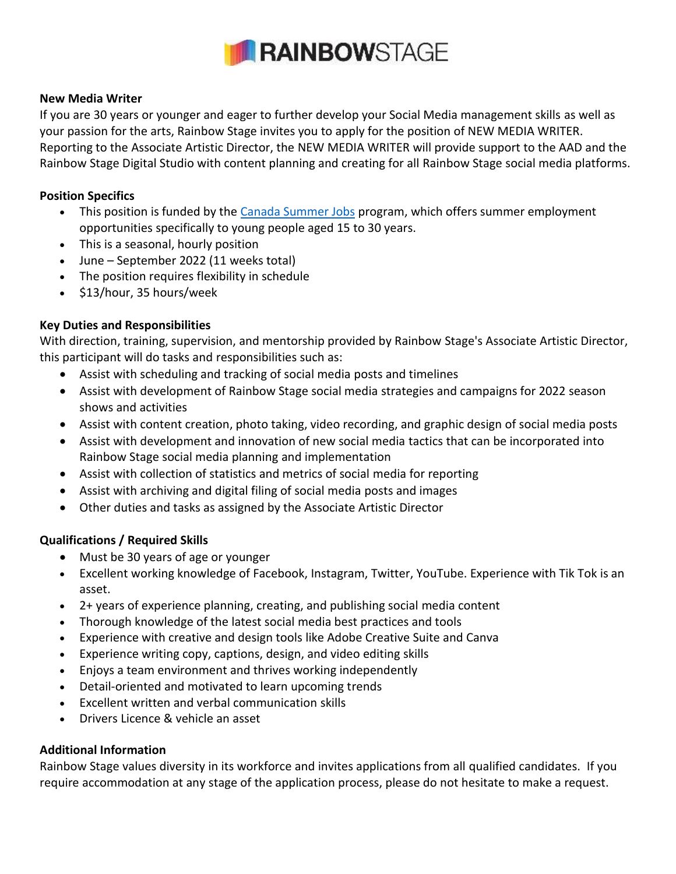

#### **New Media Writer**

If you are 30 years or younger and eager to further develop your Social Media management skills as well as your passion for the arts, Rainbow Stage invites you to apply for the position of NEW MEDIA WRITER. Reporting to the Associate Artistic Director, the NEW MEDIA WRITER will provide support to the AAD and the Rainbow Stage Digital Studio with content planning and creating for all Rainbow Stage social media platforms.

### **Position Specifics**

- This position is funded by th[e Canada Summer Jobs](https://www.jobbank.gc.ca/youth) program, which offers summer employment opportunities specifically to young people aged 15 to 30 years.
- This is a seasonal, hourly position
- June September 2022 (11 weeks total)
- The position requires flexibility in schedule
- \$13/hour, 35 hours/week

## **Key Duties and Responsibilities**

With direction, training, supervision, and mentorship provided by Rainbow Stage's Associate Artistic Director, this participant will do tasks and responsibilities such as:

- Assist with scheduling and tracking of social media posts and timelines
- Assist with development of Rainbow Stage social media strategies and campaigns for 2022 season shows and activities
- Assist with content creation, photo taking, video recording, and graphic design of social media posts
- Assist with development and innovation of new social media tactics that can be incorporated into Rainbow Stage social media planning and implementation
- Assist with collection of statistics and metrics of social media for reporting
- Assist with archiving and digital filing of social media posts and images
- Other duties and tasks as assigned by the Associate Artistic Director

## **Qualifications / Required Skills**

- Must be 30 years of age or younger
- Excellent working knowledge of Facebook, Instagram, Twitter, YouTube. Experience with Tik Tok is an asset.
- 2+ years of experience planning, creating, and publishing social media content
- Thorough knowledge of the latest social media best practices and tools
- Experience with creative and design tools like Adobe Creative Suite and Canva
- Experience writing copy, captions, design, and video editing skills
- Enjoys a team environment and thrives working independently
- Detail-oriented and motivated to learn upcoming trends
- Excellent written and verbal communication skills
- Drivers Licence & vehicle an asset

## **Additional Information**

Rainbow Stage values diversity in its workforce and invites applications from all qualified candidates. If you require accommodation at any stage of the application process, please do not hesitate to make a request.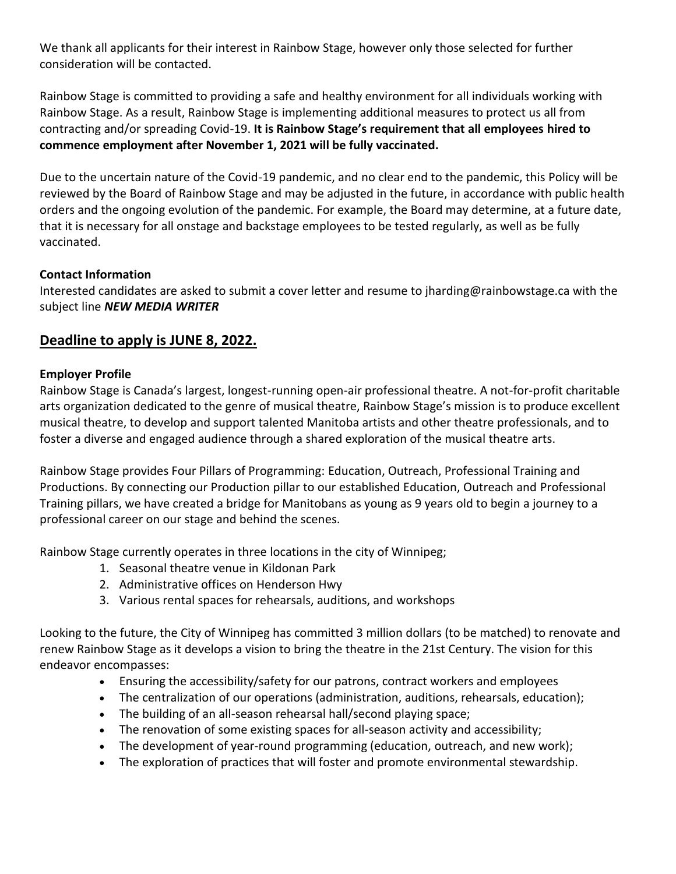We thank all applicants for their interest in Rainbow Stage, however only those selected for further consideration will be contacted.

Rainbow Stage is committed to providing a safe and healthy environment for all individuals working with Rainbow Stage. As a result, Rainbow Stage is implementing additional measures to protect us all from contracting and/or spreading Covid-19. **It is Rainbow Stage's requirement that all employees hired to commence employment after November 1, 2021 will be fully vaccinated.**

Due to the uncertain nature of the Covid-19 pandemic, and no clear end to the pandemic, this Policy will be reviewed by the Board of Rainbow Stage and may be adjusted in the future, in accordance with public health orders and the ongoing evolution of the pandemic. For example, the Board may determine, at a future date, that it is necessary for all onstage and backstage employees to be tested regularly, as well as be fully vaccinated.

### **Contact Information**

Interested candidates are asked to submit a cover letter and resume to jharding@rainbowstage.ca with the subject line *NEW MEDIA WRITER*

# **Deadline to apply is JUNE 8, 2022.**

### **Employer Profile**

Rainbow Stage is Canada's largest, longest-running open-air professional theatre. A not-for-profit charitable arts organization dedicated to the genre of musical theatre, Rainbow Stage's mission is to produce excellent musical theatre, to develop and support talented Manitoba artists and other theatre professionals, and to foster a diverse and engaged audience through a shared exploration of the musical theatre arts.

Rainbow Stage provides Four Pillars of Programming: Education, Outreach, Professional Training and Productions. By connecting our Production pillar to our established Education, Outreach and Professional Training pillars, we have created a bridge for Manitobans as young as 9 years old to begin a journey to a professional career on our stage and behind the scenes.

Rainbow Stage currently operates in three locations in the city of Winnipeg;

- 1. Seasonal theatre venue in Kildonan Park
- 2. Administrative offices on Henderson Hwy
- 3. Various rental spaces for rehearsals, auditions, and workshops

Looking to the future, the City of Winnipeg has committed 3 million dollars (to be matched) to renovate and renew Rainbow Stage as it develops a vision to bring the theatre in the 21st Century. The vision for this endeavor encompasses:

- Ensuring the accessibility/safety for our patrons, contract workers and employees
- The centralization of our operations (administration, auditions, rehearsals, education);
- The building of an all-season rehearsal hall/second playing space;
- The renovation of some existing spaces for all-season activity and accessibility;
- The development of year-round programming (education, outreach, and new work);
- The exploration of practices that will foster and promote environmental stewardship.